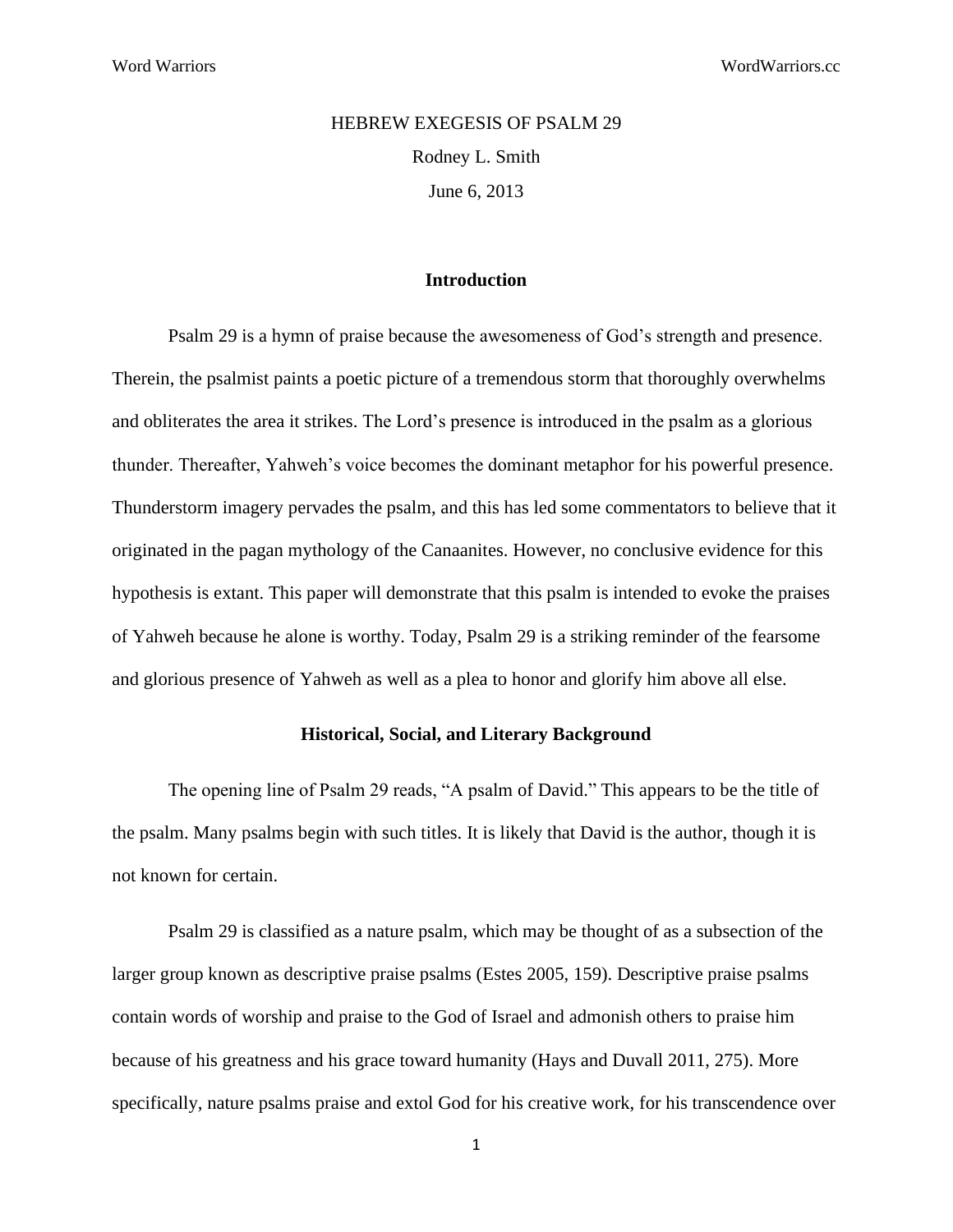# HEBREW EXEGESIS OF PSALM 29 Rodney L. Smith June 6, 2013

#### **Introduction**

Psalm 29 is a hymn of praise because the awesomeness of God's strength and presence. Therein, the psalmist paints a poetic picture of a tremendous storm that thoroughly overwhelms and obliterates the area it strikes. The Lord's presence is introduced in the psalm as a glorious thunder. Thereafter, Yahweh's voice becomes the dominant metaphor for his powerful presence. Thunderstorm imagery pervades the psalm, and this has led some commentators to believe that it originated in the pagan mythology of the Canaanites. However, no conclusive evidence for this hypothesis is extant. This paper will demonstrate that this psalm is intended to evoke the praises of Yahweh because he alone is worthy. Today, Psalm 29 is a striking reminder of the fearsome and glorious presence of Yahweh as well as a plea to honor and glorify him above all else.

### **Historical, Social, and Literary Background**

The opening line of Psalm 29 reads, "A psalm of David." This appears to be the title of the psalm. Many psalms begin with such titles. It is likely that David is the author, though it is not known for certain.

Psalm 29 is classified as a nature psalm, which may be thought of as a subsection of the larger group known as descriptive praise psalms (Estes 2005, 159). Descriptive praise psalms contain words of worship and praise to the God of Israel and admonish others to praise him because of his greatness and his grace toward humanity (Hays and Duvall 2011, 275). More specifically, nature psalms praise and extol God for his creative work, for his transcendence over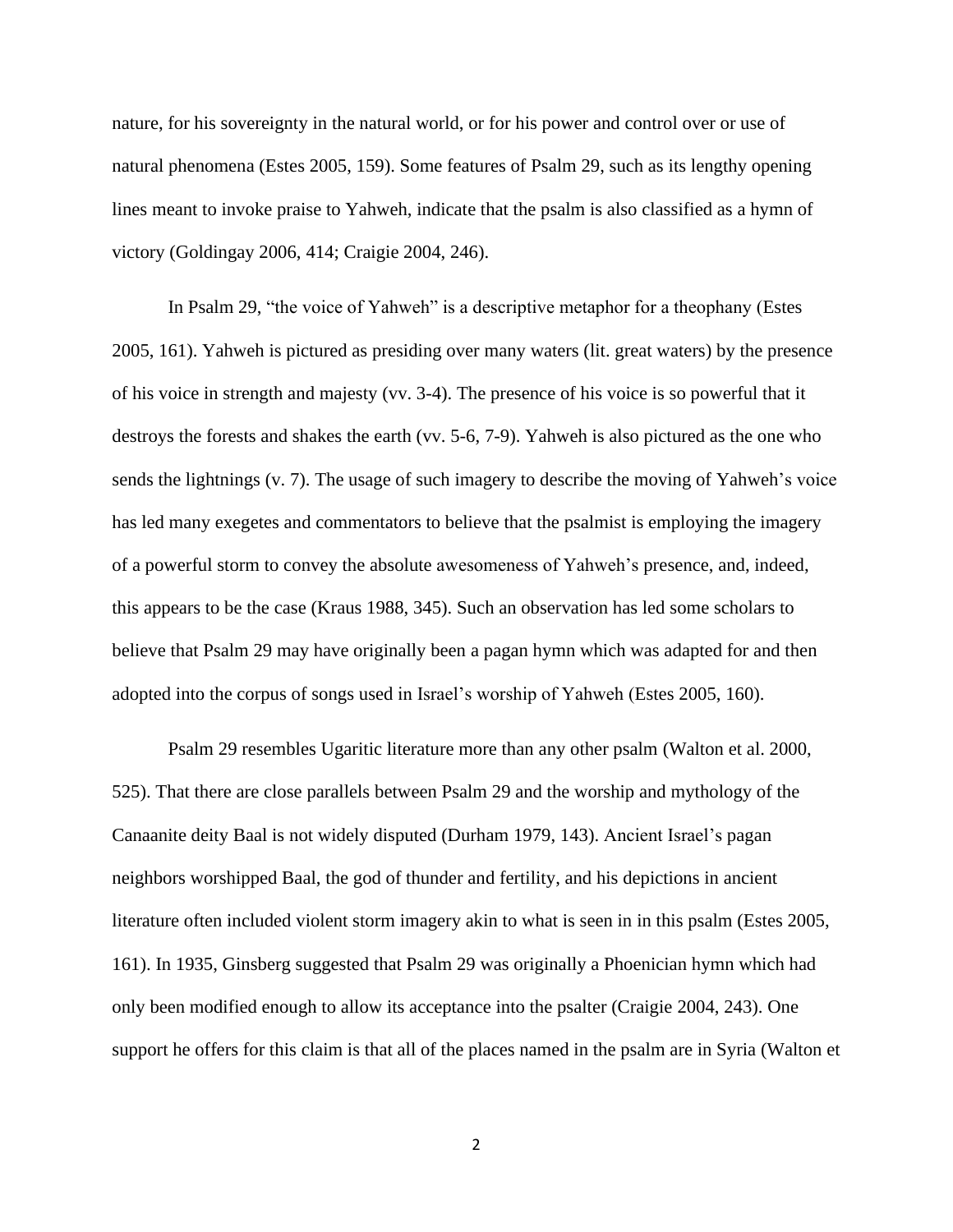nature, for his sovereignty in the natural world, or for his power and control over or use of natural phenomena (Estes 2005, 159). Some features of Psalm 29, such as its lengthy opening lines meant to invoke praise to Yahweh, indicate that the psalm is also classified as a hymn of victory (Goldingay 2006, 414; Craigie 2004, 246).

In Psalm 29, "the voice of Yahweh" is a descriptive metaphor for a theophany (Estes 2005, 161). Yahweh is pictured as presiding over many waters (lit. great waters) by the presence of his voice in strength and majesty (vv. 3-4). The presence of his voice is so powerful that it destroys the forests and shakes the earth (vv. 5-6, 7-9). Yahweh is also pictured as the one who sends the lightnings (v. 7). The usage of such imagery to describe the moving of Yahweh's voice has led many exegetes and commentators to believe that the psalmist is employing the imagery of a powerful storm to convey the absolute awesomeness of Yahweh's presence, and, indeed, this appears to be the case (Kraus 1988, 345). Such an observation has led some scholars to believe that Psalm 29 may have originally been a pagan hymn which was adapted for and then adopted into the corpus of songs used in Israel's worship of Yahweh (Estes 2005, 160).

Psalm 29 resembles Ugaritic literature more than any other psalm (Walton et al. 2000, 525). That there are close parallels between Psalm 29 and the worship and mythology of the Canaanite deity Baal is not widely disputed (Durham 1979, 143). Ancient Israel's pagan neighbors worshipped Baal, the god of thunder and fertility, and his depictions in ancient literature often included violent storm imagery akin to what is seen in in this psalm (Estes 2005, 161). In 1935, Ginsberg suggested that Psalm 29 was originally a Phoenician hymn which had only been modified enough to allow its acceptance into the psalter (Craigie 2004, 243). One support he offers for this claim is that all of the places named in the psalm are in Syria (Walton et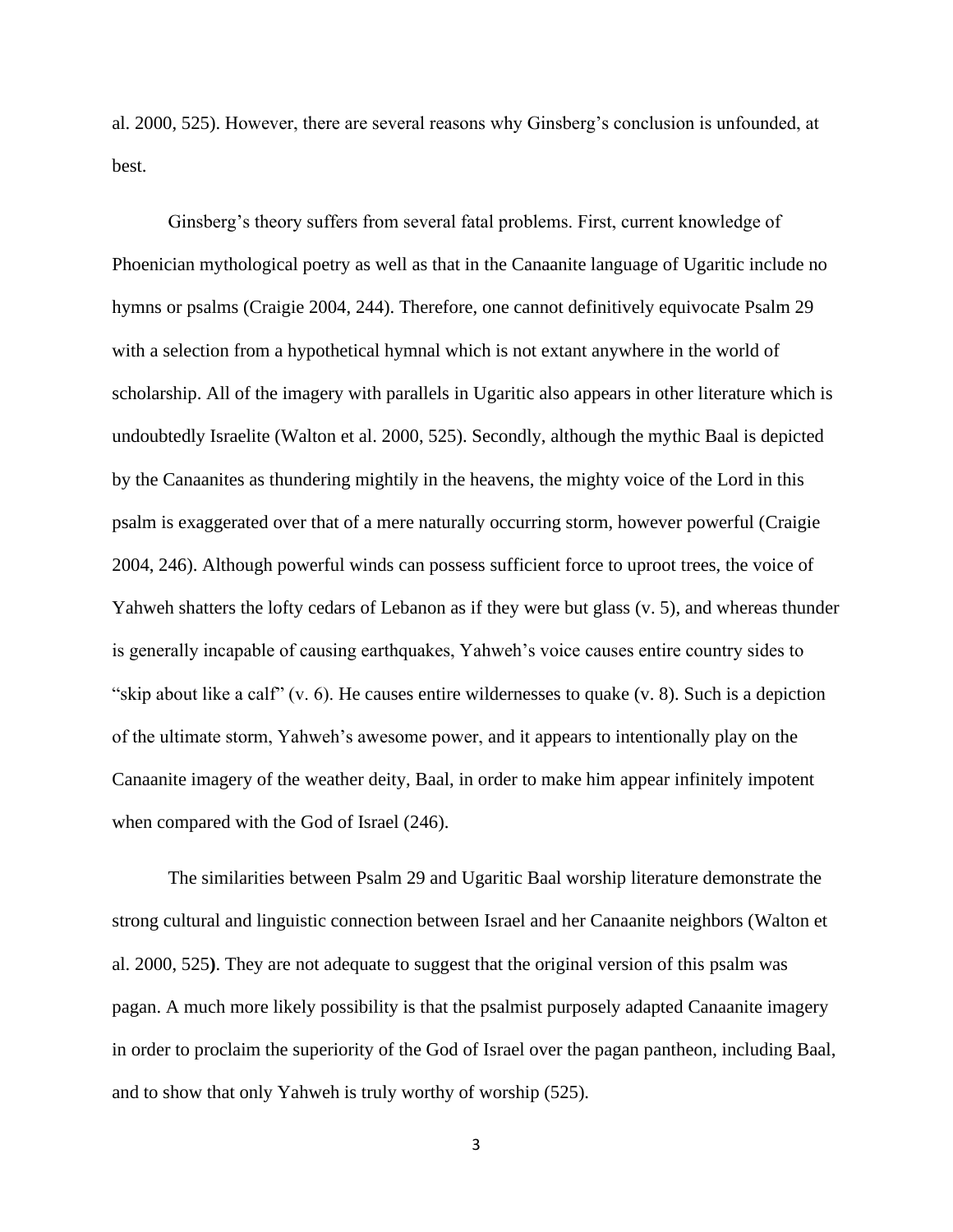al. 2000, 525). However, there are several reasons why Ginsberg's conclusion is unfounded, at best.

Ginsberg's theory suffers from several fatal problems. First, current knowledge of Phoenician mythological poetry as well as that in the Canaanite language of Ugaritic include no hymns or psalms (Craigie 2004, 244). Therefore, one cannot definitively equivocate Psalm 29 with a selection from a hypothetical hymnal which is not extant anywhere in the world of scholarship. All of the imagery with parallels in Ugaritic also appears in other literature which is undoubtedly Israelite (Walton et al. 2000, 525). Secondly, although the mythic Baal is depicted by the Canaanites as thundering mightily in the heavens, the mighty voice of the Lord in this psalm is exaggerated over that of a mere naturally occurring storm, however powerful (Craigie 2004, 246). Although powerful winds can possess sufficient force to uproot trees, the voice of Yahweh shatters the lofty cedars of Lebanon as if they were but glass (v. 5), and whereas thunder is generally incapable of causing earthquakes, Yahweh's voice causes entire country sides to "skip about like a calf" (v. 6). He causes entire wildernesses to quake (v. 8). Such is a depiction of the ultimate storm, Yahweh's awesome power, and it appears to intentionally play on the Canaanite imagery of the weather deity, Baal, in order to make him appear infinitely impotent when compared with the God of Israel (246).

The similarities between Psalm 29 and Ugaritic Baal worship literature demonstrate the strong cultural and linguistic connection between Israel and her Canaanite neighbors (Walton et al. 2000, 525**)**. They are not adequate to suggest that the original version of this psalm was pagan. A much more likely possibility is that the psalmist purposely adapted Canaanite imagery in order to proclaim the superiority of the God of Israel over the pagan pantheon, including Baal, and to show that only Yahweh is truly worthy of worship (525).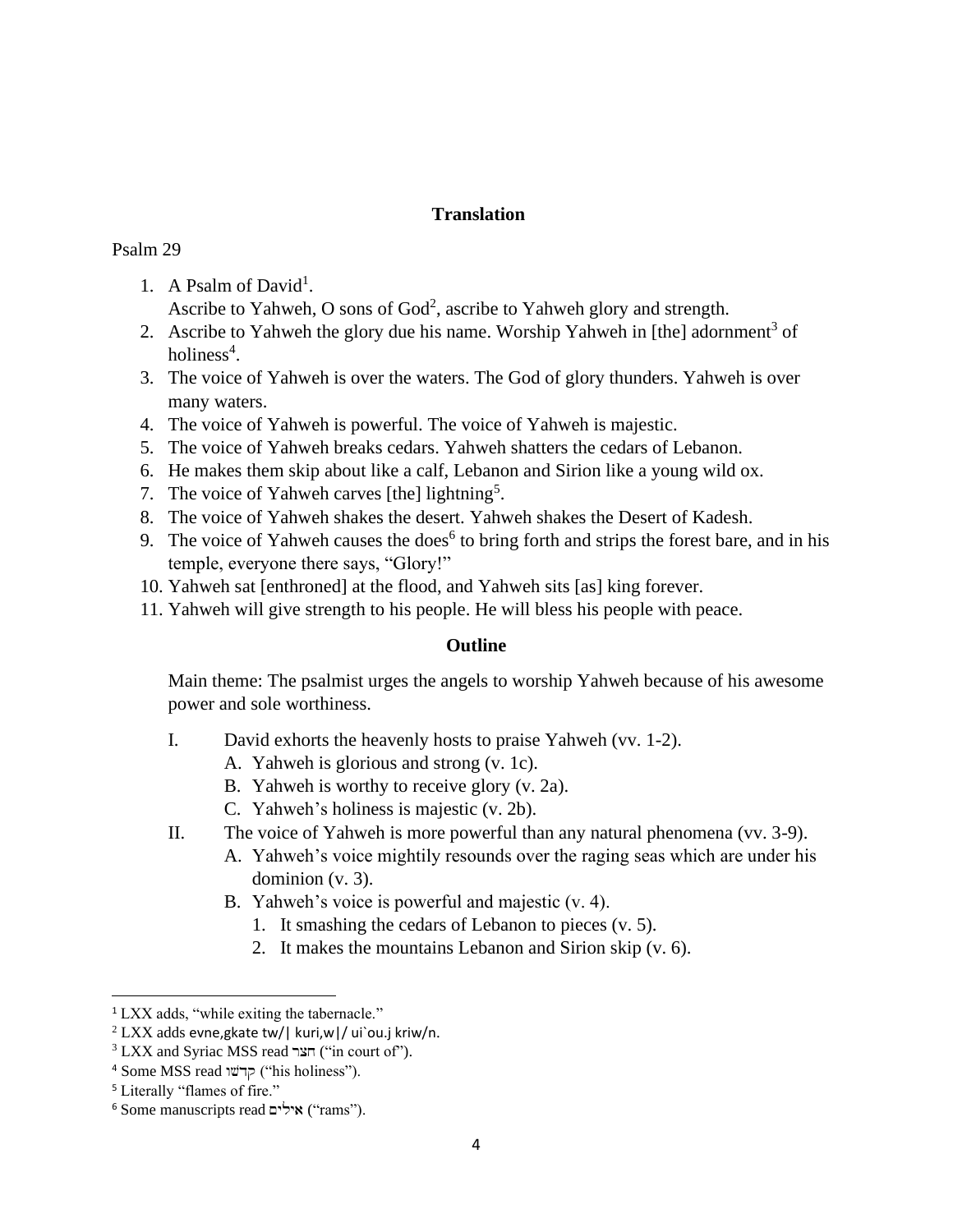# **Translation**

## Psalm 29

1. A Psalm of David<sup>1</sup>.

Ascribe to Yahweh, O sons of God<sup>2</sup>, ascribe to Yahweh glory and strength.

- 2. Ascribe to Yahweh the glory due his name. Worship Yahweh in [the] adornment<sup>3</sup> of holiness<sup>4</sup>.
- 3. The voice of Yahweh is over the waters. The God of glory thunders. Yahweh is over many waters.
- 4. The voice of Yahweh is powerful. The voice of Yahweh is majestic.
- 5. The voice of Yahweh breaks cedars. Yahweh shatters the cedars of Lebanon.
- 6. He makes them skip about like a calf, Lebanon and Sirion like a young wild ox.
- 7. The voice of Yahweh carves [the] lightning<sup>5</sup>.
- 8. The voice of Yahweh shakes the desert. Yahweh shakes the Desert of Kadesh.
- 9. The voice of Yahweh causes the does<sup>6</sup> to bring forth and strips the forest bare, and in his temple, everyone there says, "Glory!"
- 10. Yahweh sat [enthroned] at the flood, and Yahweh sits [as] king forever.
- 11. Yahweh will give strength to his people. He will bless his people with peace.

# **Outline**

Main theme: The psalmist urges the angels to worship Yahweh because of his awesome power and sole worthiness.

- I. David exhorts the heavenly hosts to praise Yahweh (vv. 1-2).
	- A. Yahweh is glorious and strong (v. 1c).
	- B. Yahweh is worthy to receive glory (v. 2a).
	- C. Yahweh's holiness is majestic (v. 2b).
- II. The voice of Yahweh is more powerful than any natural phenomena (vv. 3-9).
	- A. Yahweh's voice mightily resounds over the raging seas which are under his dominion (v. 3).
	- B. Yahweh's voice is powerful and majestic (v. 4).
		- 1. It smashing the cedars of Lebanon to pieces (v. 5).
		- 2. It makes the mountains Lebanon and Sirion skip (v. 6).

<sup>&</sup>lt;sup>1</sup> LXX adds, "while exiting the tabernacle."

 $2$  LXX adds evne, gkate tw/| kuri, w|/ ui`ou.j kriw/n.

 $3$  LXX and Syriac MSS read הצר ("in court of").

 $4$  Some MSS read קרשו $\bar{p}$  ("his holiness").

<sup>5</sup> Literally "flames of fire."

 $6$  Some manuscripts read  $\sim$ ילים ("rams").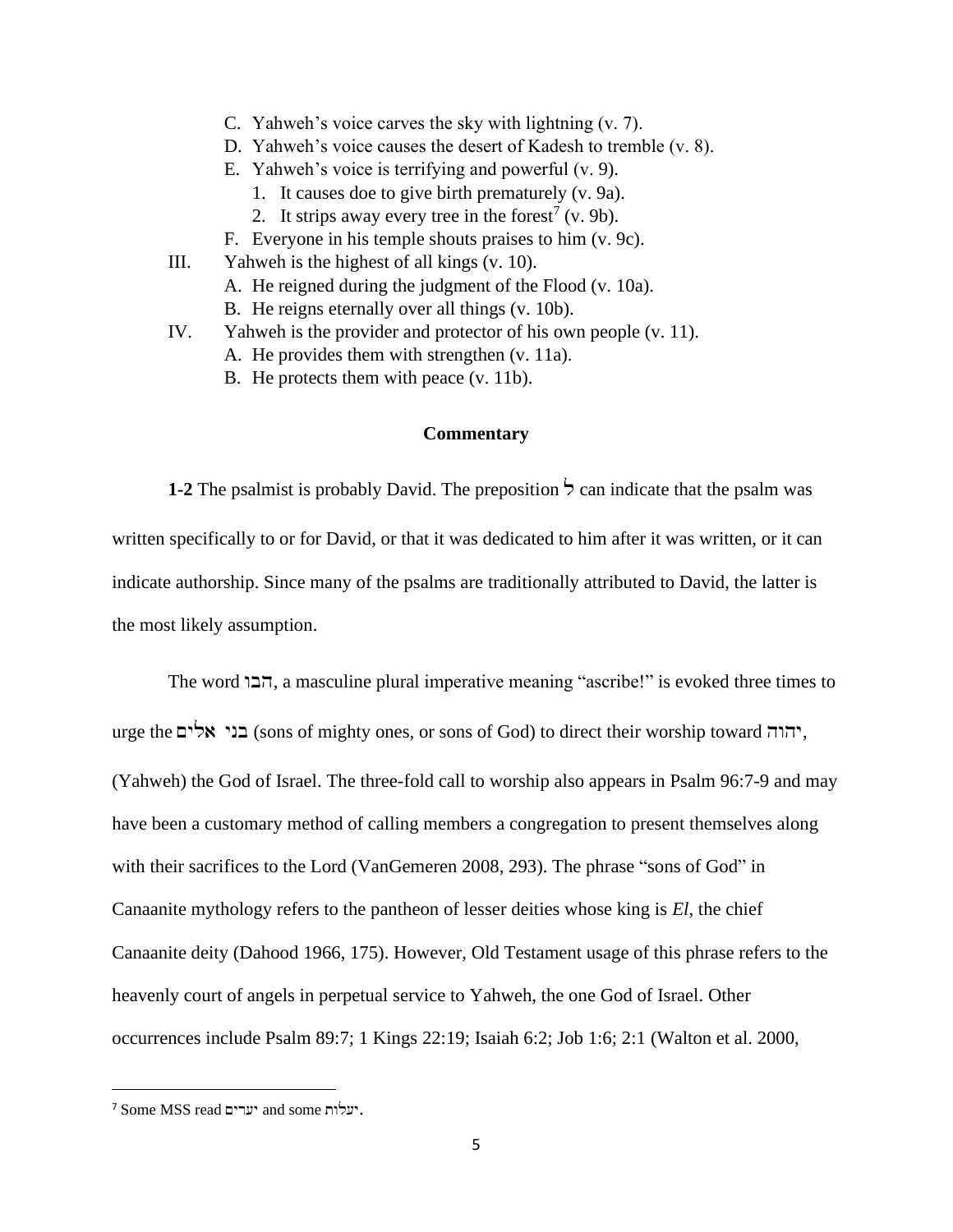- C. Yahweh's voice carves the sky with lightning (v. 7).
- D. Yahweh's voice causes the desert of Kadesh to tremble (v. 8).
- E. Yahweh's voice is terrifying and powerful (v. 9).
	- 1. It causes doe to give birth prematurely (v. 9a).
	- 2. It strips away every tree in the forest<sup>7</sup> (v. 9b).
- F. Everyone in his temple shouts praises to him (v. 9c).
- III. Yahweh is the highest of all kings (v. 10). A. He reigned during the judgment of the Flood (v. 10a).
	- B. He reigns eternally over all things (v. 10b).
- IV. Yahweh is the provider and protector of his own people (v. 11).
	- A. He provides them with strengthen (v. 11a).
	- B. He protects them with peace (v. 11b).

### **Commentary**

**1-2** The psalmist is probably David. The preposition  $\frac{1}{2}$  can indicate that the psalm was written specifically to or for David, or that it was dedicated to him after it was written, or it can indicate authorship. Since many of the psalms are traditionally attributed to David, the latter is the most likely assumption.

The word הבו, a masculine plural imperative meaning "ascribe!" is evoked three times to urge the בני אלים) (sons of mighty ones, or sons of God) to direct their worship toward יהוה, (Yahweh) the God of Israel. The three-fold call to worship also appears in Psalm 96:7-9 and may have been a customary method of calling members a congregation to present themselves along with their sacrifices to the Lord (VanGemeren 2008, 293). The phrase "sons of God" in Canaanite mythology refers to the pantheon of lesser deities whose king is *El*, the chief Canaanite deity (Dahood 1966, 175). However, Old Testament usage of this phrase refers to the heavenly court of angels in perpetual service to Yahweh, the one God of Israel. Other occurrences include Psalm 89:7; 1 Kings 22:19; Isaiah 6:2; Job 1:6; 2:1 (Walton et al. 2000,

<sup>7</sup> Some MSS read יערים and some יעלות.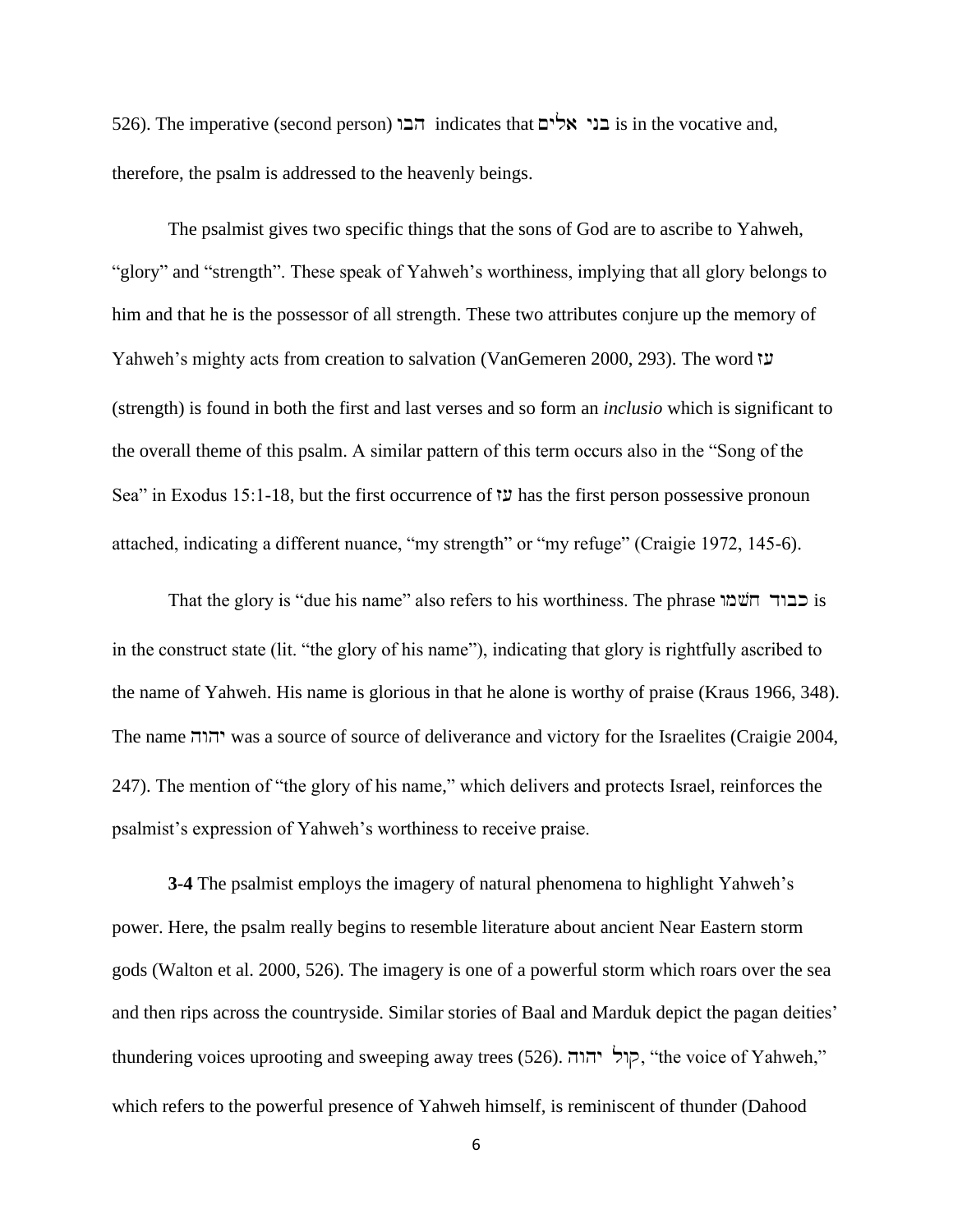526). The imperative (second person) הבו indicates that  $\sim$ ' is in the vocative and, therefore, the psalm is addressed to the heavenly beings.

The psalmist gives two specific things that the sons of God are to ascribe to Yahweh, "glory" and "strength". These speak of Yahweh's worthiness, implying that all glory belongs to him and that he is the possessor of all strength. These two attributes conjure up the memory of Yahweh's mighty acts from creation to salvation (VanGemeren 2000, 293). The word z[ (strength) is found in both the first and last verses and so form an *inclusio* which is significant to the overall theme of this psalm. A similar pattern of this term occurs also in the "Song of the Sea" in Exodus 15:1-18, but the first occurrence of  $\ddot{\nu}$  has the first person possessive pronoun attached, indicating a different nuance, "my strength" or "my refuge" (Craigie 1972, 145-6).

That the glory is "due his name" also refers to his worthiness. The phrase שמו in the construct state (lit. "the glory of his name"), indicating that glory is rightfully ascribed to the name of Yahweh. His name is glorious in that he alone is worthy of praise (Kraus 1966, 348). The name hwhy was a source of source of deliverance and victory for the Israelites (Craigie 2004, 247). The mention of "the glory of his name," which delivers and protects Israel, reinforces the psalmist's expression of Yahweh's worthiness to receive praise.

**3-4** The psalmist employs the imagery of natural phenomena to highlight Yahweh's power. Here, the psalm really begins to resemble literature about ancient Near Eastern storm gods (Walton et al. 2000, 526). The imagery is one of a powerful storm which roars over the sea and then rips across the countryside. Similar stories of Baal and Marduk depict the pagan deities' thundering voices uprooting and sweeping away trees (526). קול יהוה, "the voice of Yahweh," which refers to the powerful presence of Yahweh himself, is reminiscent of thunder (Dahood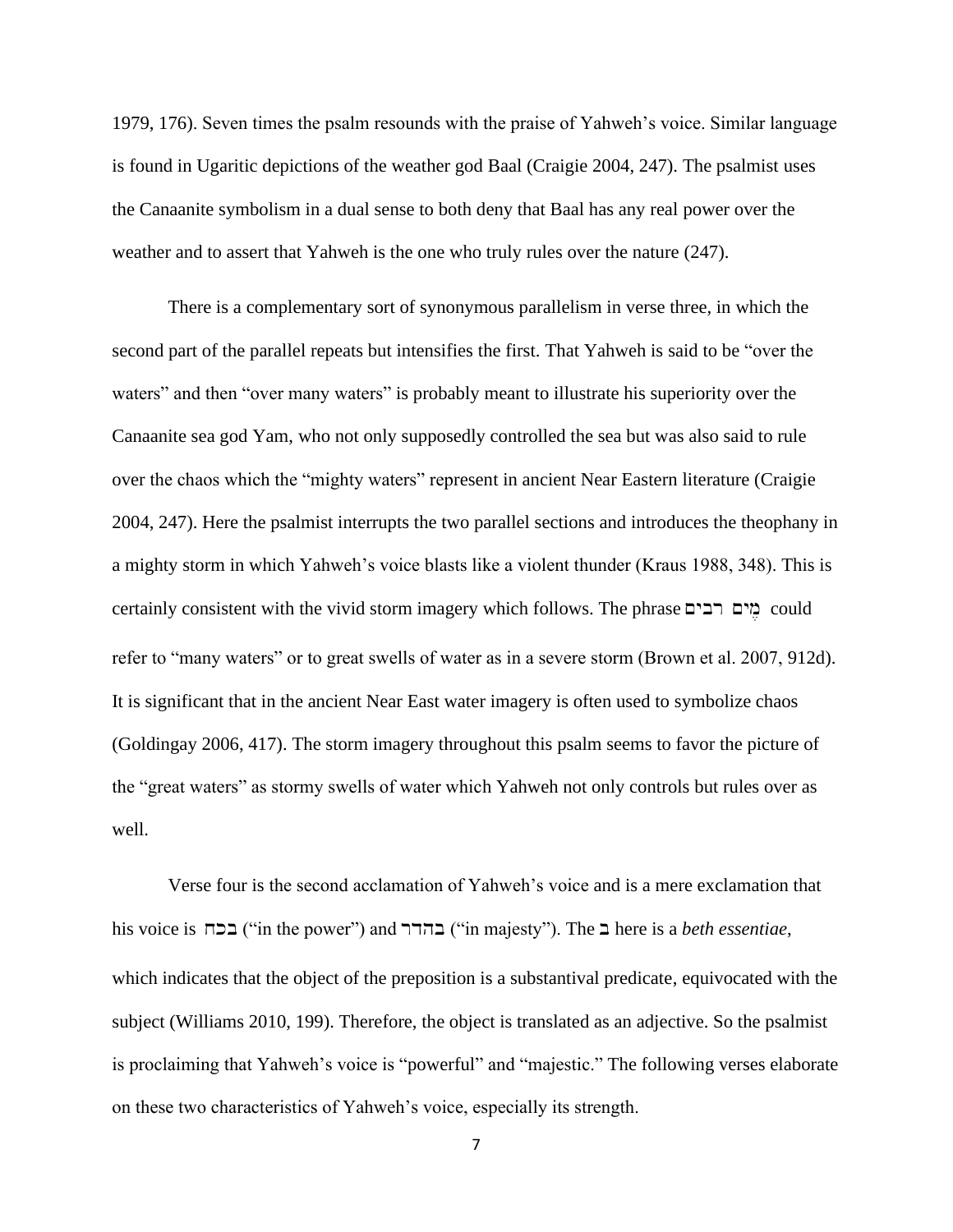1979, 176). Seven times the psalm resounds with the praise of Yahweh's voice. Similar language is found in Ugaritic depictions of the weather god Baal (Craigie 2004, 247). The psalmist uses the Canaanite symbolism in a dual sense to both deny that Baal has any real power over the weather and to assert that Yahweh is the one who truly rules over the nature (247).

There is a complementary sort of synonymous parallelism in verse three, in which the second part of the parallel repeats but intensifies the first. That Yahweh is said to be "over the waters" and then "over many waters" is probably meant to illustrate his superiority over the Canaanite sea god Yam, who not only supposedly controlled the sea but was also said to rule over the chaos which the "mighty waters" represent in ancient Near Eastern literature (Craigie 2004, 247). Here the psalmist interrupts the two parallel sections and introduces the theophany in a mighty storm in which Yahweh's voice blasts like a violent thunder (Kraus 1988, 348). This is certainly consistent with the vivid storm imagery which follows. The phrase  $\Box$ רבים  $\Box$ could refer to "many waters" or to great swells of water as in a severe storm (Brown et al. 2007, 912d). It is significant that in the ancient Near East water imagery is often used to symbolize chaos (Goldingay 2006, 417). The storm imagery throughout this psalm seems to favor the picture of the "great waters" as stormy swells of water which Yahweh not only controls but rules over as well.

Verse four is the second acclamation of Yahweh's voice and is a mere exclamation that his voice is  $\Box$ בכח ("in the power") and בהרר ("in majesty"). The  $\Box$  here is a *beth essentiae*, which indicates that the object of the preposition is a substantival predicate, equivocated with the subject (Williams 2010, 199). Therefore, the object is translated as an adjective. So the psalmist is proclaiming that Yahweh's voice is "powerful" and "majestic." The following verses elaborate on these two characteristics of Yahweh's voice, especially its strength.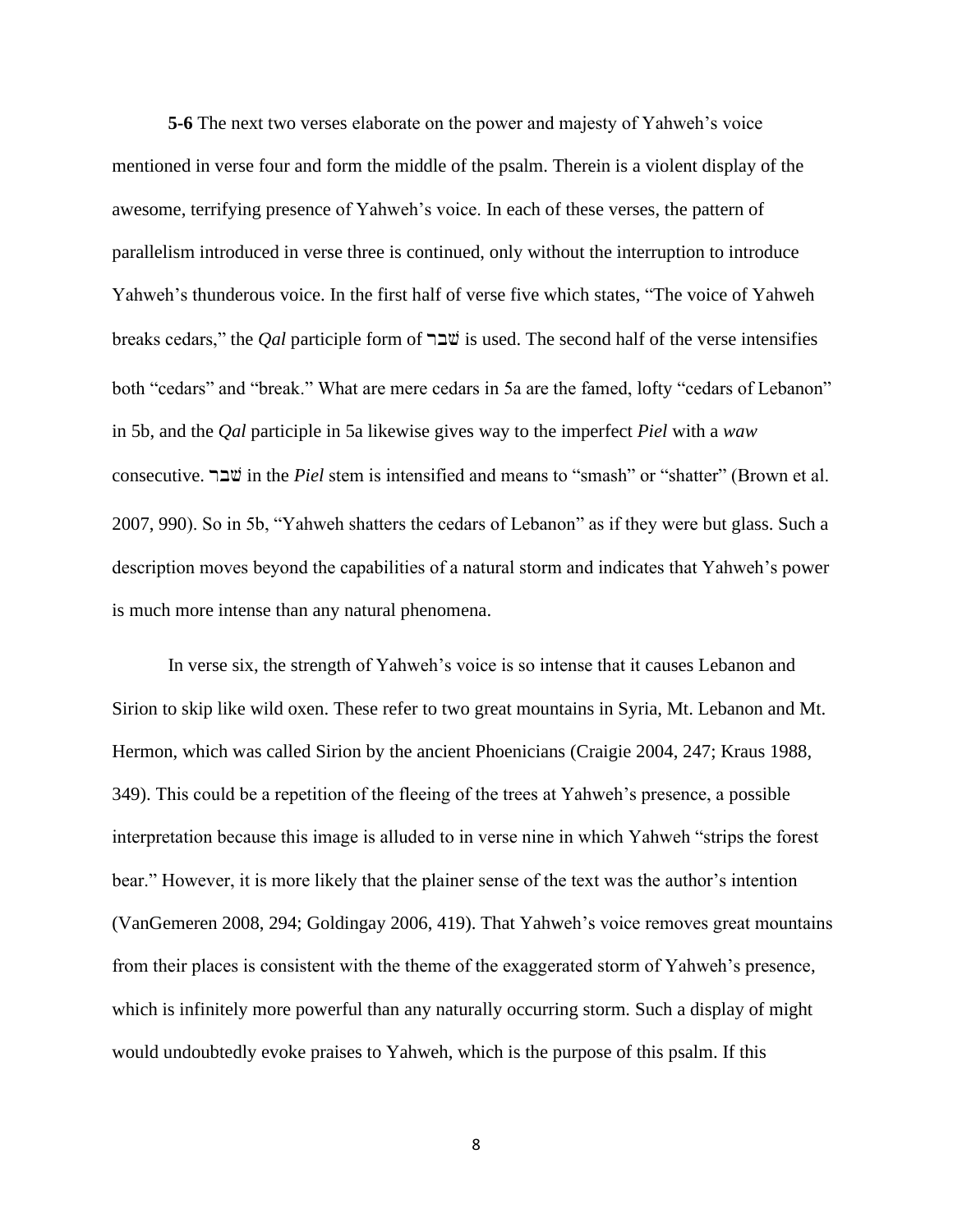**5-6** The next two verses elaborate on the power and majesty of Yahweh's voice mentioned in verse four and form the middle of the psalm. Therein is a violent display of the awesome, terrifying presence of Yahweh's voice. In each of these verses, the pattern of parallelism introduced in verse three is continued, only without the interruption to introduce Yahweh's thunderous voice. In the first half of verse five which states, "The voice of Yahweh breaks cedars," the *Qal* participle form of  $\exists \exists \forall$  is used. The second half of the verse intensifies both "cedars" and "break." What are mere cedars in 5a are the famed, lofty "cedars of Lebanon" in 5b, and the *Qal* participle in 5a likewise gives way to the imperfect *Piel* with a *waw* consecutive. rbv in the *Piel* stem is intensified and means to "smash" or "shatter" (Brown et al. 2007, 990). So in 5b, "Yahweh shatters the cedars of Lebanon" as if they were but glass. Such a description moves beyond the capabilities of a natural storm and indicates that Yahweh's power is much more intense than any natural phenomena.

In verse six, the strength of Yahweh's voice is so intense that it causes Lebanon and Sirion to skip like wild oxen. These refer to two great mountains in Syria, Mt. Lebanon and Mt. Hermon, which was called Sirion by the ancient Phoenicians (Craigie 2004, 247; Kraus 1988, 349). This could be a repetition of the fleeing of the trees at Yahweh's presence, a possible interpretation because this image is alluded to in verse nine in which Yahweh "strips the forest bear." However, it is more likely that the plainer sense of the text was the author's intention (VanGemeren 2008, 294; Goldingay 2006, 419). That Yahweh's voice removes great mountains from their places is consistent with the theme of the exaggerated storm of Yahweh's presence, which is infinitely more powerful than any naturally occurring storm. Such a display of might would undoubtedly evoke praises to Yahweh, which is the purpose of this psalm. If this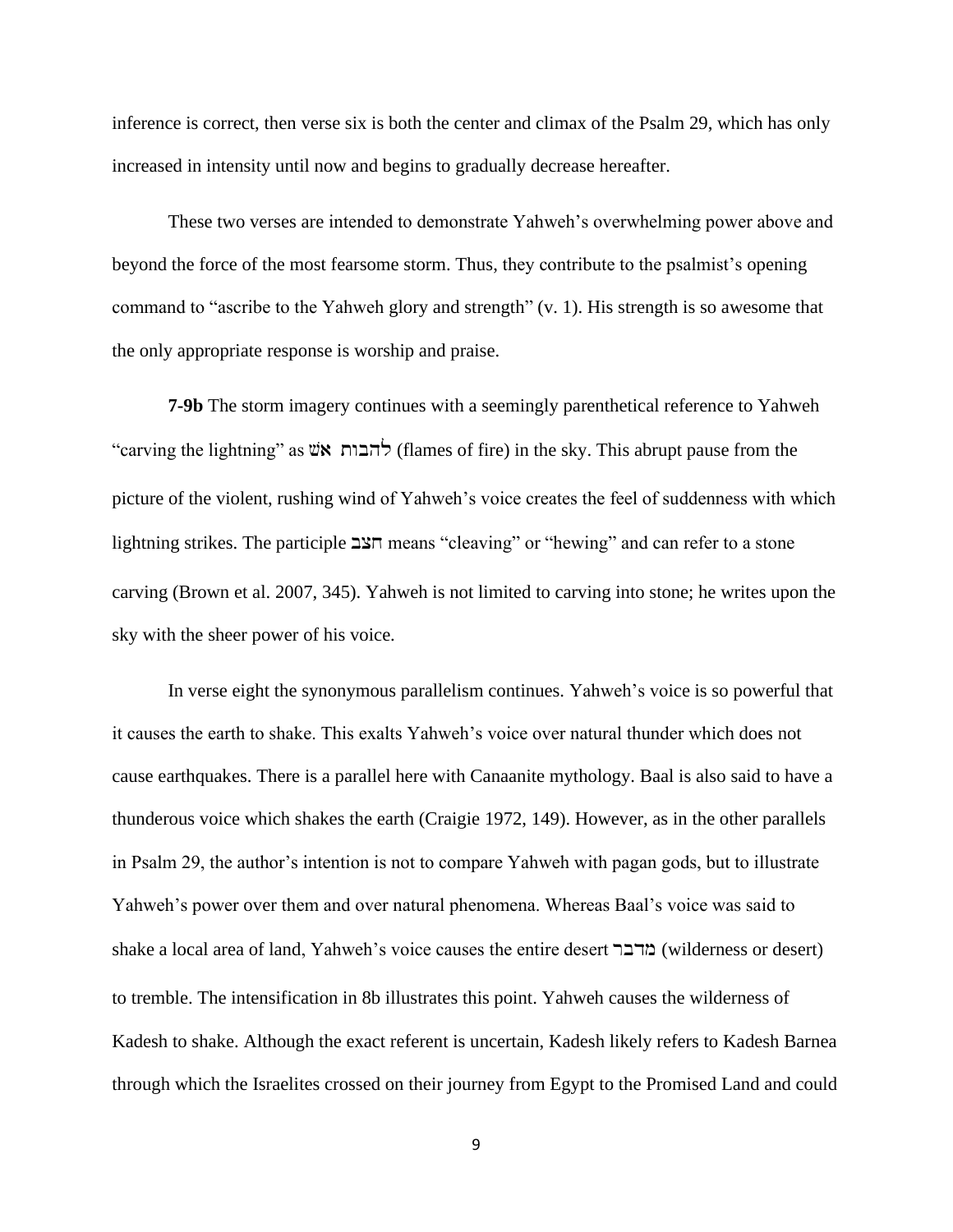inference is correct, then verse six is both the center and climax of the Psalm 29, which has only increased in intensity until now and begins to gradually decrease hereafter.

These two verses are intended to demonstrate Yahweh's overwhelming power above and beyond the force of the most fearsome storm. Thus, they contribute to the psalmist's opening command to "ascribe to the Yahweh glory and strength" (v. 1). His strength is so awesome that the only appropriate response is worship and praise.

**7-9b** The storm imagery continues with a seemingly parenthetical reference to Yahweh "carving the lightning" as  $\ddot{w}$ להבות  $\ddot{r}$ הבות ל $\ddot{r}$  (flames of fire) in the sky. This abrupt pause from the picture of the violent, rushing wind of Yahweh's voice creates the feel of suddenness with which lightning strikes. The participle  $\frac{25}{7}$  means "cleaving" or "hewing" and can refer to a stone carving (Brown et al. 2007, 345). Yahweh is not limited to carving into stone; he writes upon the sky with the sheer power of his voice.

In verse eight the synonymous parallelism continues. Yahweh's voice is so powerful that it causes the earth to shake. This exalts Yahweh's voice over natural thunder which does not cause earthquakes. There is a parallel here with Canaanite mythology. Baal is also said to have a thunderous voice which shakes the earth (Craigie 1972, 149). However, as in the other parallels in Psalm 29, the author's intention is not to compare Yahweh with pagan gods, but to illustrate Yahweh's power over them and over natural phenomena. Whereas Baal's voice was said to shake a local area of land, Yahweh's voice causes the entire desert מרבר (wilderness or desert) to tremble. The intensification in 8b illustrates this point. Yahweh causes the wilderness of Kadesh to shake. Although the exact referent is uncertain, Kadesh likely refers to Kadesh Barnea through which the Israelites crossed on their journey from Egypt to the Promised Land and could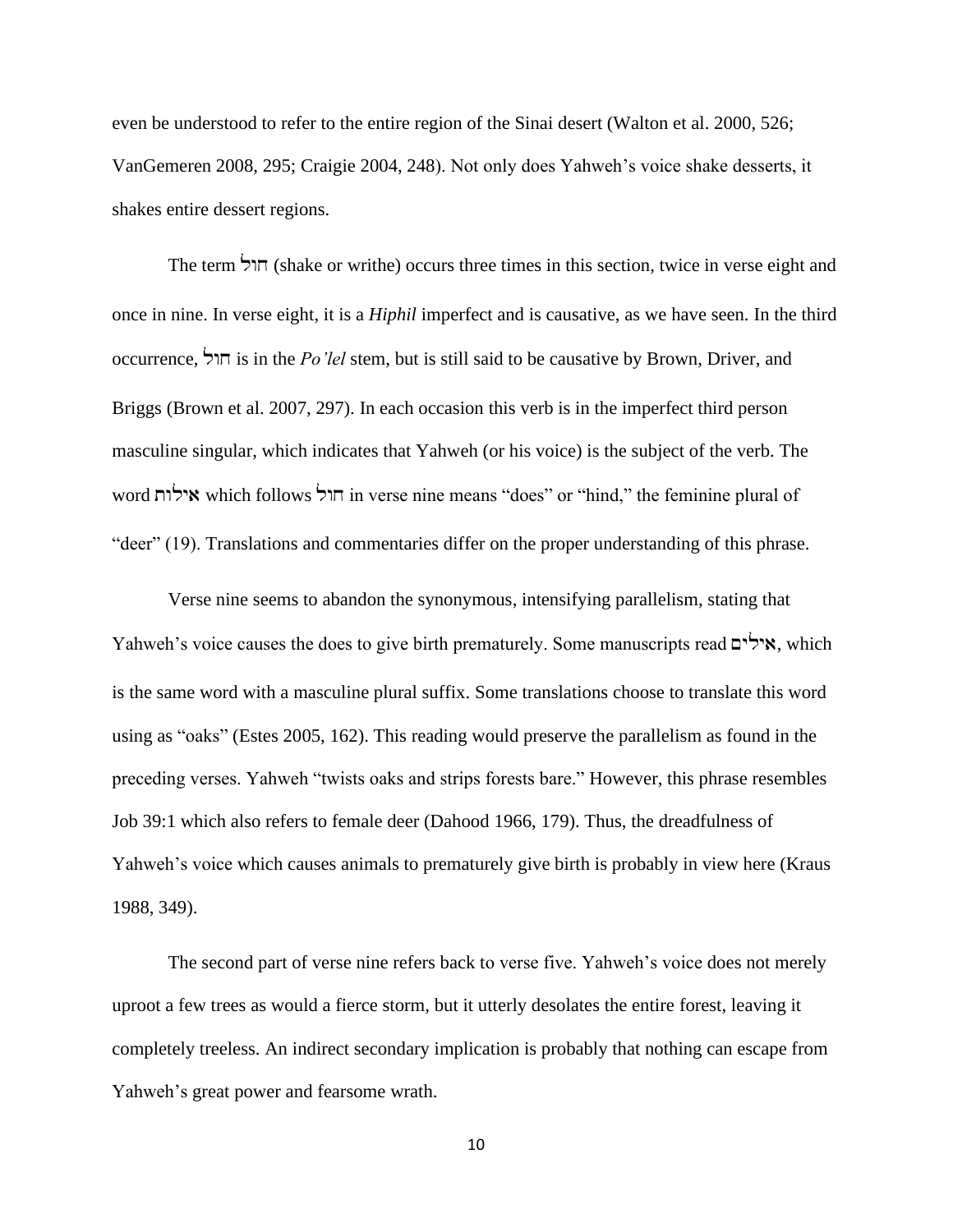even be understood to refer to the entire region of the Sinai desert (Walton et al. 2000, 526; VanGemeren 2008, 295; Craigie 2004, 248). Not only does Yahweh's voice shake desserts, it shakes entire dessert regions.

The term ורל (shake or writhe) occurs three times in this section, twice in verse eight and once in nine. In verse eight, it is a *Hiphil* imperfect and is causative, as we have seen. In the third occurrence, lwx is in the *Po'lel* stem, but is still said to be causative by Brown, Driver, and Briggs (Brown et al. 2007, 297). In each occasion this verb is in the imperfect third person masculine singular, which indicates that Yahweh (or his voice) is the subject of the verb. The word אילות which follows הול וחוד in verse nine means "does" or "hind," the feminine plural of "deer" (19). Translations and commentaries differ on the proper understanding of this phrase.

Verse nine seems to abandon the synonymous, intensifying parallelism, stating that Yahweh's voice causes the does to give birth prematurely. Some manuscripts read  $\gamma$ אילים, which is the same word with a masculine plural suffix. Some translations choose to translate this word using as "oaks" (Estes 2005, 162). This reading would preserve the parallelism as found in the preceding verses. Yahweh "twists oaks and strips forests bare." However, this phrase resembles Job 39:1 which also refers to female deer (Dahood 1966, 179). Thus, the dreadfulness of Yahweh's voice which causes animals to prematurely give birth is probably in view here (Kraus 1988, 349).

The second part of verse nine refers back to verse five. Yahweh's voice does not merely uproot a few trees as would a fierce storm, but it utterly desolates the entire forest, leaving it completely treeless. An indirect secondary implication is probably that nothing can escape from Yahweh's great power and fearsome wrath.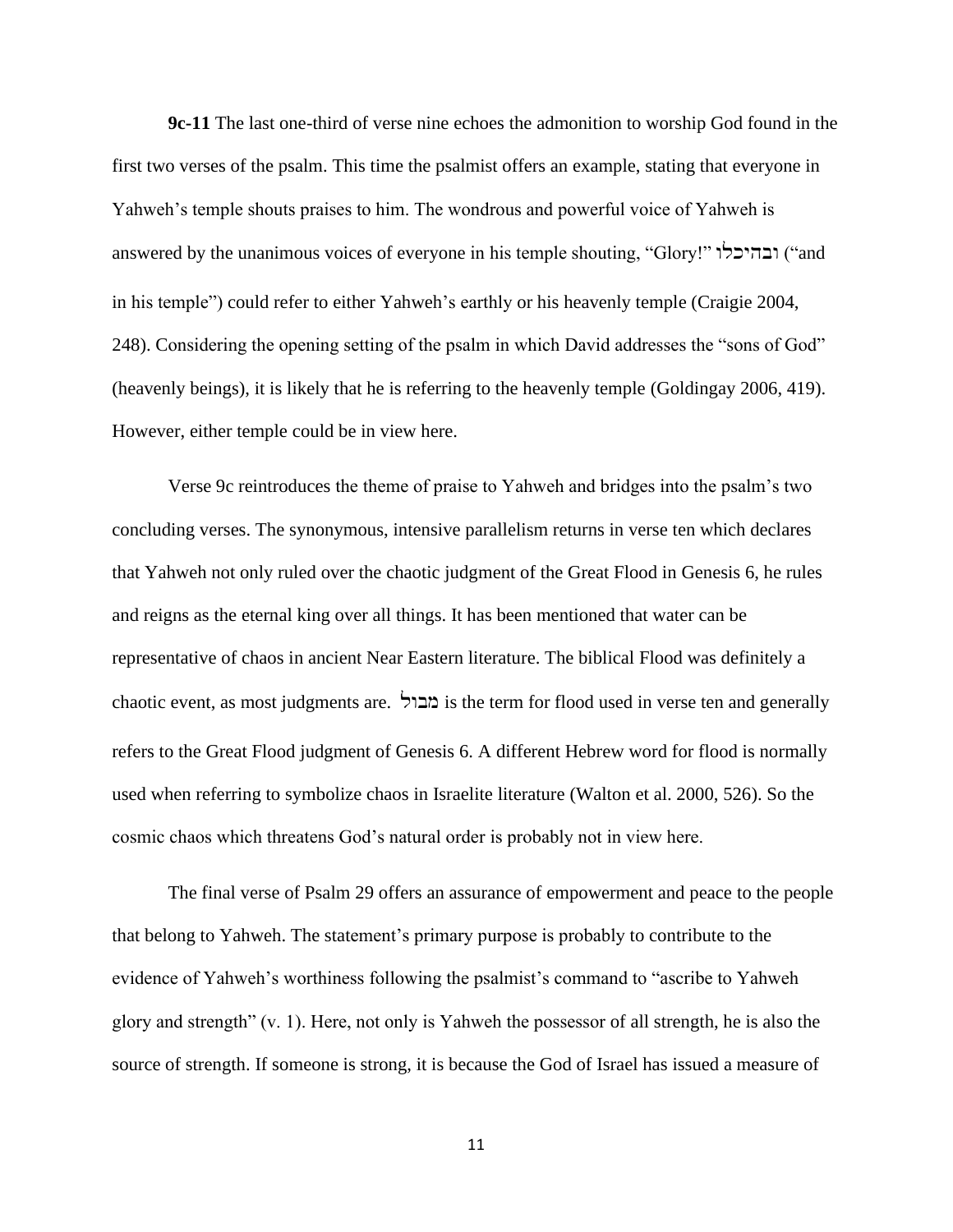**9c-11** The last one-third of verse nine echoes the admonition to worship God found in the first two verses of the psalm. This time the psalmist offers an example, stating that everyone in Yahweh's temple shouts praises to him. The wondrous and powerful voice of Yahweh is answered by the unanimous voices of everyone in his temple shouting, "Glory!" ובהיכלו in his temple") could refer to either Yahweh's earthly or his heavenly temple (Craigie 2004, 248). Considering the opening setting of the psalm in which David addresses the "sons of God" (heavenly beings), it is likely that he is referring to the heavenly temple (Goldingay 2006, 419). However, either temple could be in view here.

Verse 9c reintroduces the theme of praise to Yahweh and bridges into the psalm's two concluding verses. The synonymous, intensive parallelism returns in verse ten which declares that Yahweh not only ruled over the chaotic judgment of the Great Flood in Genesis 6, he rules and reigns as the eternal king over all things. It has been mentioned that water can be representative of chaos in ancient Near Eastern literature. The biblical Flood was definitely a chaotic event, as most judgments are.  $\Delta$ ברול is the term for flood used in verse ten and generally refers to the Great Flood judgment of Genesis 6. A different Hebrew word for flood is normally used when referring to symbolize chaos in Israelite literature (Walton et al. 2000, 526). So the cosmic chaos which threatens God's natural order is probably not in view here.

The final verse of Psalm 29 offers an assurance of empowerment and peace to the people that belong to Yahweh. The statement's primary purpose is probably to contribute to the evidence of Yahweh's worthiness following the psalmist's command to "ascribe to Yahweh glory and strength" (v. 1). Here, not only is Yahweh the possessor of all strength, he is also the source of strength. If someone is strong, it is because the God of Israel has issued a measure of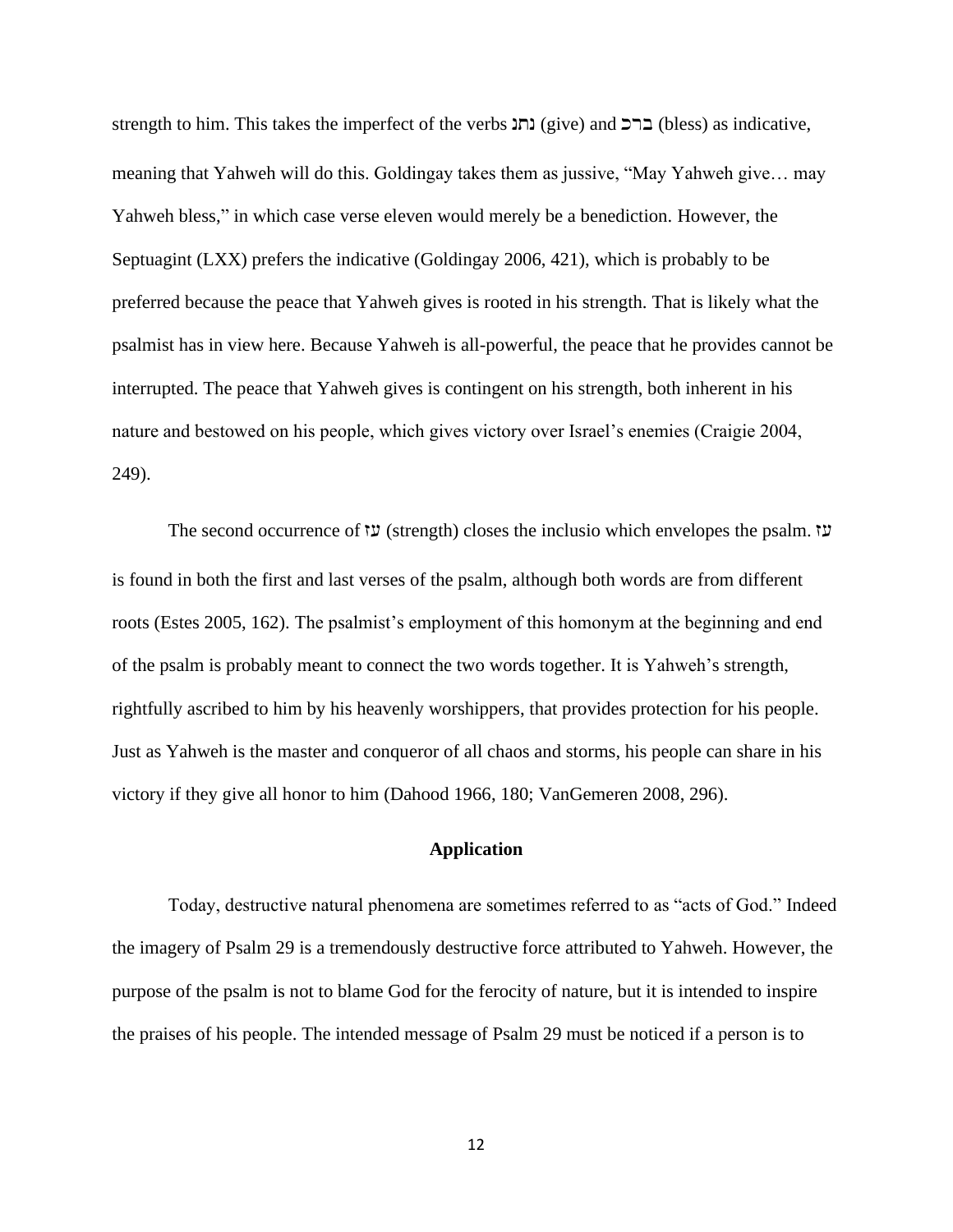strength to him. This takes the imperfect of the verbs נתנ $(give)$  and ברכ $(bless)$  as indicative, meaning that Yahweh will do this. Goldingay takes them as jussive, "May Yahweh give… may Yahweh bless," in which case verse eleven would merely be a benediction. However, the Septuagint (LXX) prefers the indicative (Goldingay 2006, 421), which is probably to be preferred because the peace that Yahweh gives is rooted in his strength. That is likely what the psalmist has in view here. Because Yahweh is all-powerful, the peace that he provides cannot be interrupted. The peace that Yahweh gives is contingent on his strength, both inherent in his nature and bestowed on his people, which gives victory over Israel's enemies (Craigie 2004, 249).

The second occurrence of  $\mathfrak{v}$  (strength) closes the inclusio which envelopes the psalm.  $\mathfrak{v}$ is found in both the first and last verses of the psalm, although both words are from different roots (Estes 2005, 162). The psalmist's employment of this homonym at the beginning and end of the psalm is probably meant to connect the two words together. It is Yahweh's strength, rightfully ascribed to him by his heavenly worshippers, that provides protection for his people. Just as Yahweh is the master and conqueror of all chaos and storms, his people can share in his victory if they give all honor to him (Dahood 1966, 180; VanGemeren 2008, 296).

### **Application**

Today, destructive natural phenomena are sometimes referred to as "acts of God." Indeed the imagery of Psalm 29 is a tremendously destructive force attributed to Yahweh. However, the purpose of the psalm is not to blame God for the ferocity of nature, but it is intended to inspire the praises of his people. The intended message of Psalm 29 must be noticed if a person is to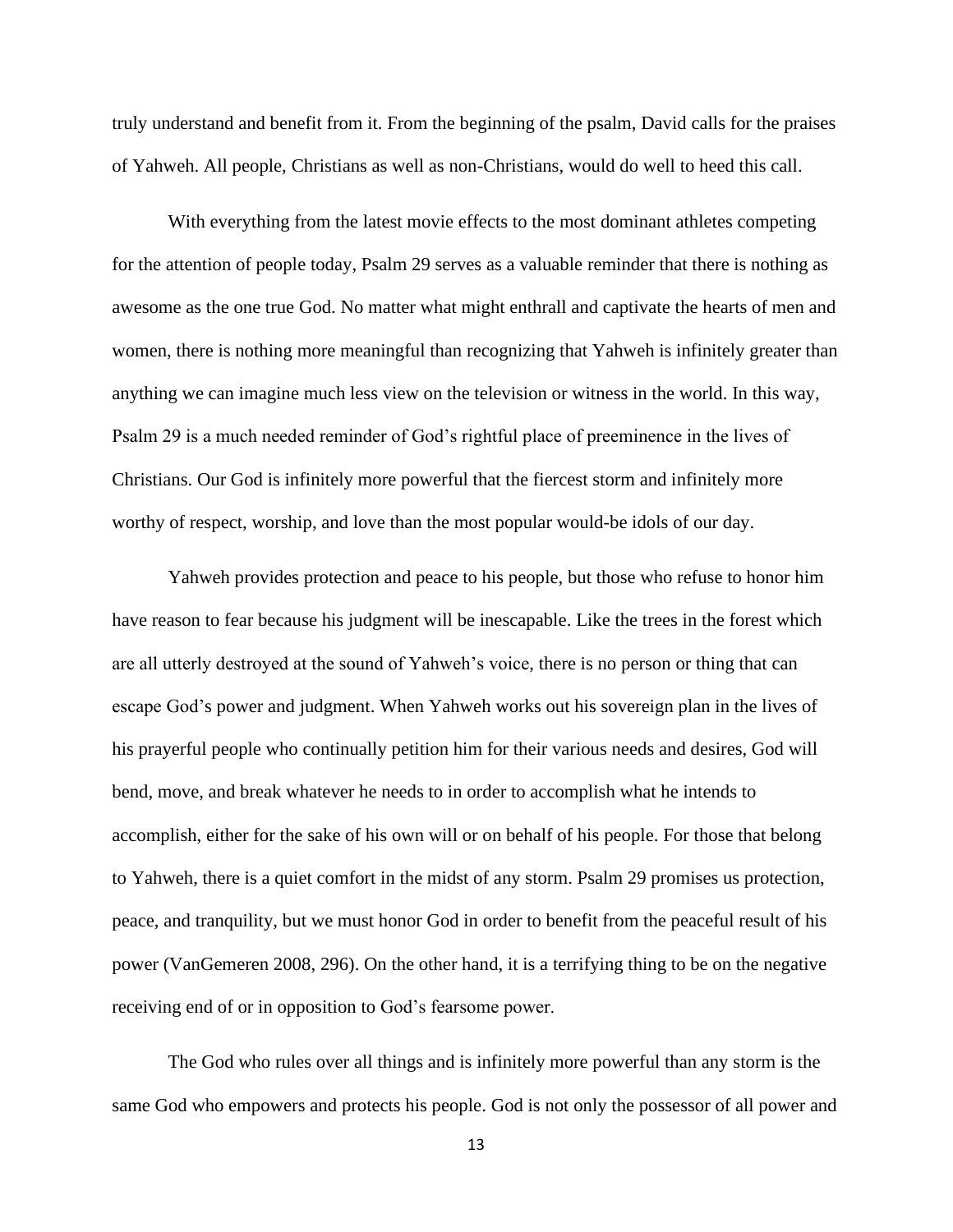truly understand and benefit from it. From the beginning of the psalm, David calls for the praises of Yahweh. All people, Christians as well as non-Christians, would do well to heed this call.

With everything from the latest movie effects to the most dominant athletes competing for the attention of people today, Psalm 29 serves as a valuable reminder that there is nothing as awesome as the one true God. No matter what might enthrall and captivate the hearts of men and women, there is nothing more meaningful than recognizing that Yahweh is infinitely greater than anything we can imagine much less view on the television or witness in the world. In this way, Psalm 29 is a much needed reminder of God's rightful place of preeminence in the lives of Christians. Our God is infinitely more powerful that the fiercest storm and infinitely more worthy of respect, worship, and love than the most popular would-be idols of our day.

Yahweh provides protection and peace to his people, but those who refuse to honor him have reason to fear because his judgment will be inescapable. Like the trees in the forest which are all utterly destroyed at the sound of Yahweh's voice, there is no person or thing that can escape God's power and judgment. When Yahweh works out his sovereign plan in the lives of his prayerful people who continually petition him for their various needs and desires, God will bend, move, and break whatever he needs to in order to accomplish what he intends to accomplish, either for the sake of his own will or on behalf of his people. For those that belong to Yahweh, there is a quiet comfort in the midst of any storm. Psalm 29 promises us protection, peace, and tranquility, but we must honor God in order to benefit from the peaceful result of his power (VanGemeren 2008, 296). On the other hand, it is a terrifying thing to be on the negative receiving end of or in opposition to God's fearsome power.

The God who rules over all things and is infinitely more powerful than any storm is the same God who empowers and protects his people. God is not only the possessor of all power and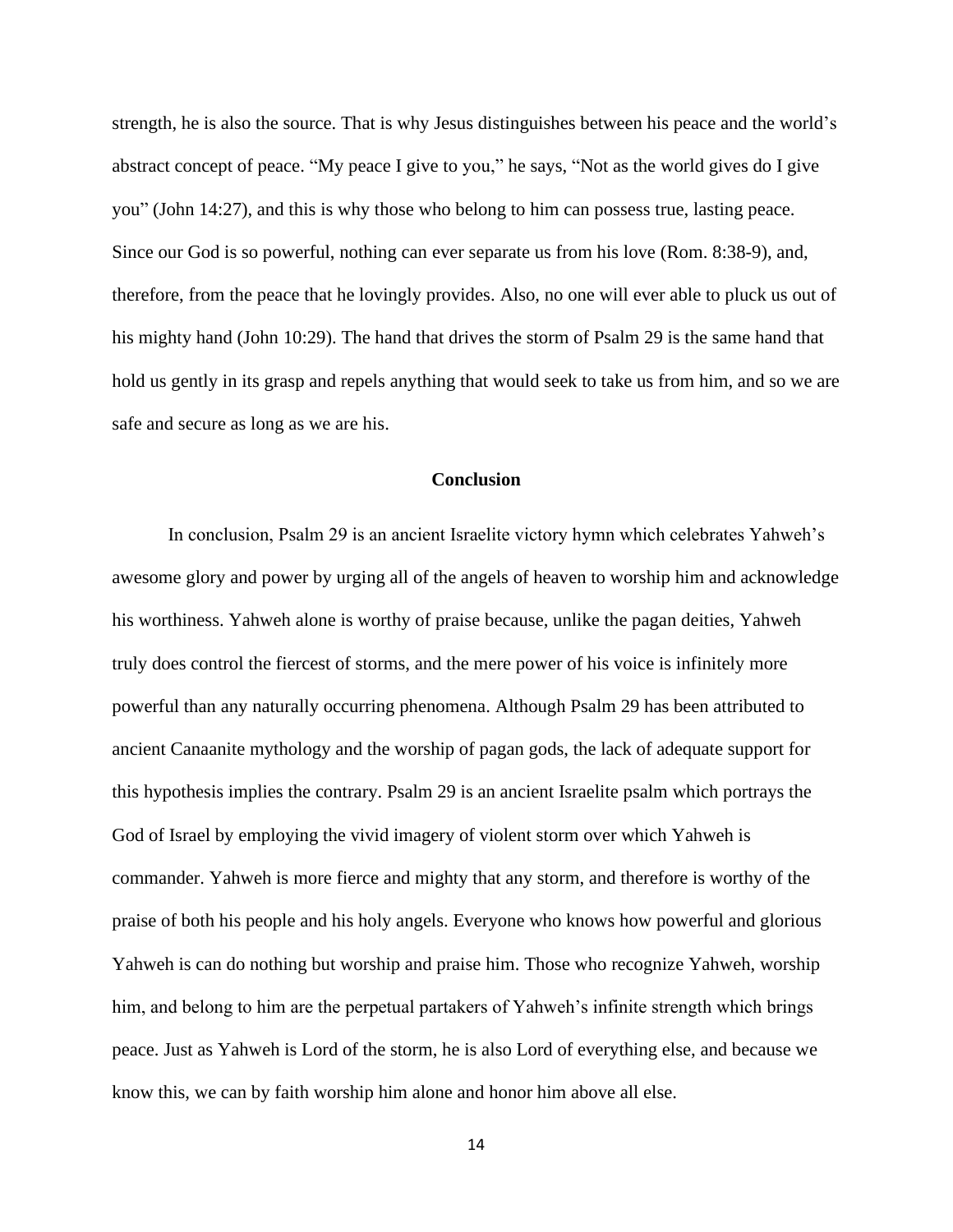strength, he is also the source. That is why Jesus distinguishes between his peace and the world's abstract concept of peace. "My peace I give to you," he says, "Not as the world gives do I give you" (John 14:27), and this is why those who belong to him can possess true, lasting peace. Since our God is so powerful, nothing can ever separate us from his love (Rom. 8:38-9), and, therefore, from the peace that he lovingly provides. Also, no one will ever able to pluck us out of his mighty hand (John 10:29). The hand that drives the storm of Psalm 29 is the same hand that hold us gently in its grasp and repels anything that would seek to take us from him, and so we are safe and secure as long as we are his.

### **Conclusion**

In conclusion, Psalm 29 is an ancient Israelite victory hymn which celebrates Yahweh's awesome glory and power by urging all of the angels of heaven to worship him and acknowledge his worthiness. Yahweh alone is worthy of praise because, unlike the pagan deities, Yahweh truly does control the fiercest of storms, and the mere power of his voice is infinitely more powerful than any naturally occurring phenomena. Although Psalm 29 has been attributed to ancient Canaanite mythology and the worship of pagan gods, the lack of adequate support for this hypothesis implies the contrary. Psalm 29 is an ancient Israelite psalm which portrays the God of Israel by employing the vivid imagery of violent storm over which Yahweh is commander. Yahweh is more fierce and mighty that any storm, and therefore is worthy of the praise of both his people and his holy angels. Everyone who knows how powerful and glorious Yahweh is can do nothing but worship and praise him. Those who recognize Yahweh, worship him, and belong to him are the perpetual partakers of Yahweh's infinite strength which brings peace. Just as Yahweh is Lord of the storm, he is also Lord of everything else, and because we know this, we can by faith worship him alone and honor him above all else.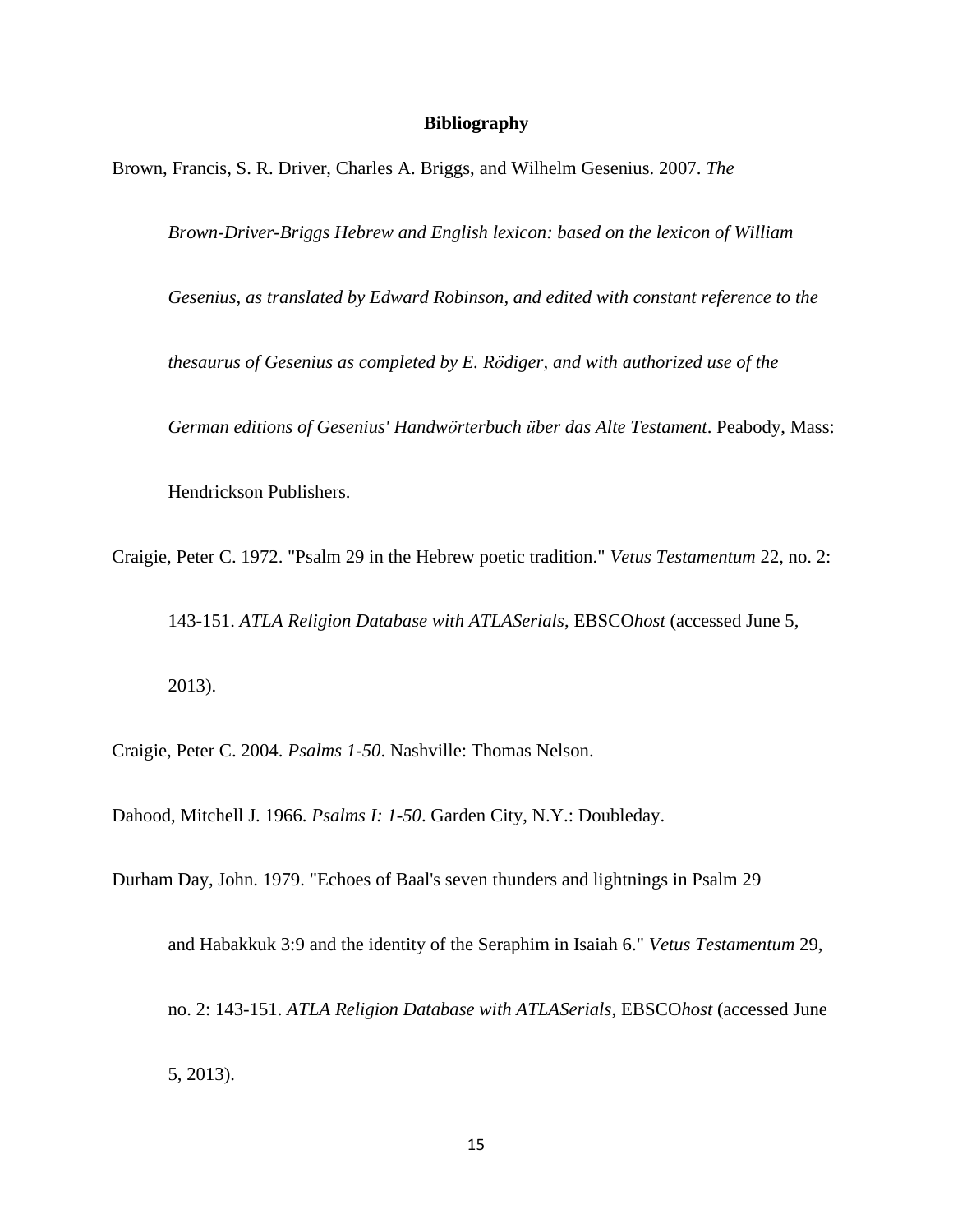### **Bibliography**

Brown, Francis, S. R. Driver, Charles A. Briggs, and Wilhelm Gesenius. 2007. *The*

*Brown-Driver-Briggs Hebrew and English lexicon: based on the lexicon of William* 

*Gesenius, as translated by Edward Robinson, and edited with constant reference to the* 

*thesaurus of Gesenius as completed by E. Rödiger, and with authorized use of the* 

*German editions of Gesenius' Handwörterbuch über das Alte Testament*. Peabody, Mass:

Hendrickson Publishers.

Craigie, Peter C. 1972. "Psalm 29 in the Hebrew poetic tradition." *Vetus Testamentum* 22, no. 2:

143-151. *ATLA Religion Database with ATLASerials*, EBSCO*host* (accessed June 5,

2013).

Craigie, Peter C. 2004. *Psalms 1-50*. Nashville: Thomas Nelson.

Dahood, Mitchell J. 1966. *Psalms I: 1-50*. Garden City, N.Y.: Doubleday.

Durham Day, John. 1979. "Echoes of Baal's seven thunders and lightnings in Psalm 29

and Habakkuk 3:9 and the identity of the Seraphim in Isaiah 6." *Vetus Testamentum* 29,

no. 2: 143-151. *ATLA Religion Database with ATLASerials*, EBSCO*host* (accessed June

5, 2013).